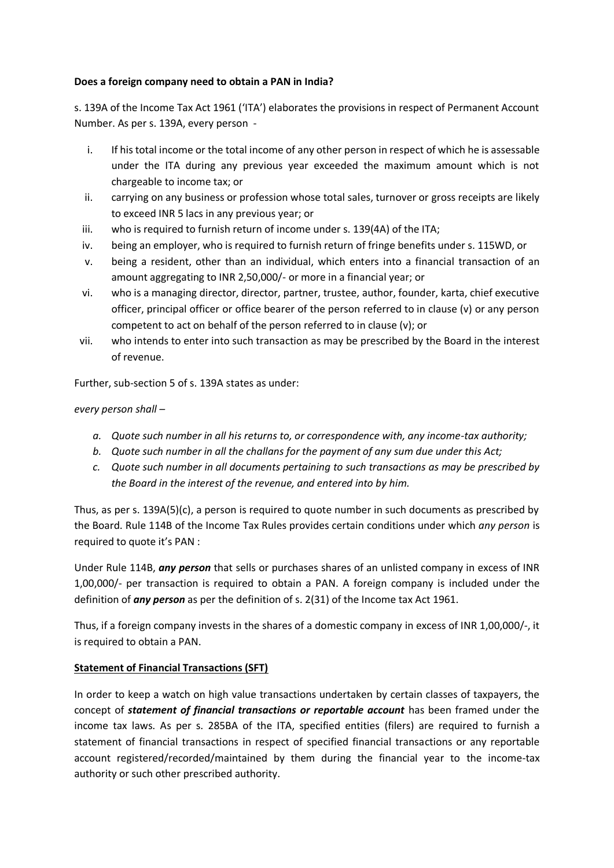## **Does a foreign company need to obtain a PAN in India?**

s. 139A of the Income Tax Act 1961 ('ITA') elaborates the provisions in respect of Permanent Account Number. As per s. 139A, every person -

- i. If his total income or the total income of any other person in respect of which he is assessable under the ITA during any previous year exceeded the maximum amount which is not chargeable to income tax; or
- ii. carrying on any business or profession whose total sales, turnover or gross receipts are likely to exceed INR 5 lacs in any previous year; or
- iii. who is required to furnish return of income under s. 139(4A) of the ITA;
- iv. being an employer, who is required to furnish return of fringe benefits under s. 115WD, or
- v. being a resident, other than an individual, which enters into a financial transaction of an amount aggregating to INR 2,50,000/- or more in a financial year; or
- vi. who is a managing director, director, partner, trustee, author, founder, karta, chief executive officer, principal officer or office bearer of the person referred to in clause (v) or any person competent to act on behalf of the person referred to in clause (v); or
- vii. who intends to enter into such transaction as may be prescribed by the Board in the interest of revenue.

Further, sub-section 5 of s. 139A states as under:

## *every person shall –*

- *a. Quote such number in all his returns to, or correspondence with, any income-tax authority;*
- *b. Quote such number in all the challans for the payment of any sum due under this Act;*
- *c. Quote such number in all documents pertaining to such transactions as may be prescribed by the Board in the interest of the revenue, and entered into by him.*

Thus, as per s. 139A(5)(c), a person is required to quote number in such documents as prescribed by the Board. Rule 114B of the Income Tax Rules provides certain conditions under which *any person* is required to quote it's PAN :

Under Rule 114B, *any person* that sells or purchases shares of an unlisted company in excess of INR 1,00,000/- per transaction is required to obtain a PAN. A foreign company is included under the definition of *any person* as per the definition of s. 2(31) of the Income tax Act 1961.

Thus, if a foreign company invests in the shares of a domestic company in excess of INR 1,00,000/-, it is required to obtain a PAN.

## **Statement of Financial Transactions (SFT)**

In order to keep a watch on high value transactions undertaken by certain classes of taxpayers, the concept of *statement of financial transactions or reportable account* has been framed under the income tax laws. As per s. 285BA of the ITA, specified entities (filers) are required to furnish a statement of financial transactions in respect of specified financial transactions or any reportable account registered/recorded/maintained by them during the financial year to the income-tax authority or such other prescribed authority.